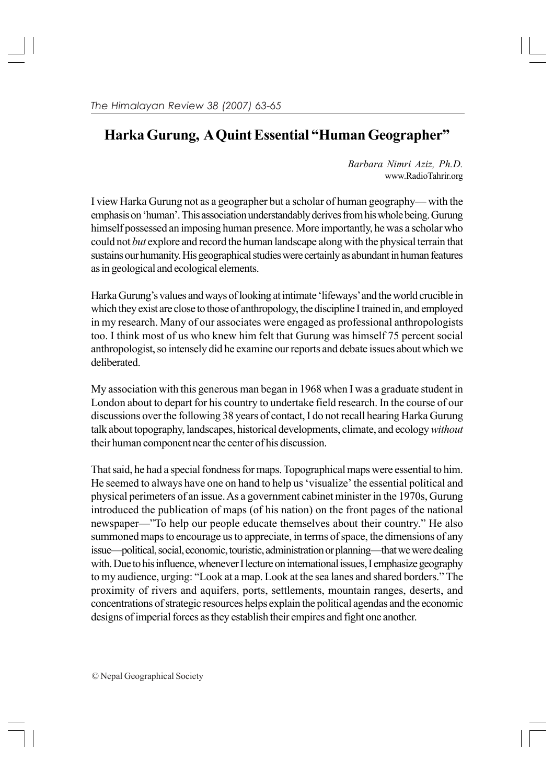## **Harka Gurung, A Quint Essential "Human Geographer"**

*Barbara Nimri Aziz, Ph.D.* www.RadioTahrir.org

I view Harka Gurung not as a geographer but a scholar of human geography— with the emphasis on 'human'. This association understandably derives from his whole being. Gurung himself possessed an imposing human presence. More importantly, he was a scholar who could not *but* explore and record the human landscape along with the physical terrain that sustains our humanity. His geographical studies were certainly as abundant in human features as in geological and ecological elements.

Harka Gurung's values and ways of looking at intimate 'lifeways' and the world crucible in which they exist are close to those of anthropology, the discipline I trained in, and employed in my research. Many of our associates were engaged as professional anthropologists too. I think most of us who knew him felt that Gurung was himself 75 percent social anthropologist, so intensely did he examine our reports and debate issues about which we deliberated.

My association with this generous man began in 1968 when I was a graduate student in London about to depart for his country to undertake field research. In the course of our discussions over the following 38 years of contact, I do not recall hearing Harka Gurung talk about topography, landscapes, historical developments, climate, and ecology *without* their human component near the center of his discussion.

That said, he had a special fondness for maps. Topographical maps were essential to him. He seemed to always have one on hand to help us 'visualize' the essential political and physical perimeters of an issue. As a government cabinet minister in the 1970s, Gurung introduced the publication of maps (of his nation) on the front pages of the national newspaper—"To help our people educate themselves about their country." He also summoned maps to encourage us to appreciate, in terms of space, the dimensions of any issue—political, social, economic, touristic, administration or planning—that we were dealing with. Due to his influence, whenever I lecture on international issues, I emphasize geography to my audience, urging: "Look at a map. Look at the sea lanes and shared borders." The proximity of rivers and aquifers, ports, settlements, mountain ranges, deserts, and concentrations of strategic resources helps explain the political agendas and the economic designs of imperial forces as they establish their empires and fight one another.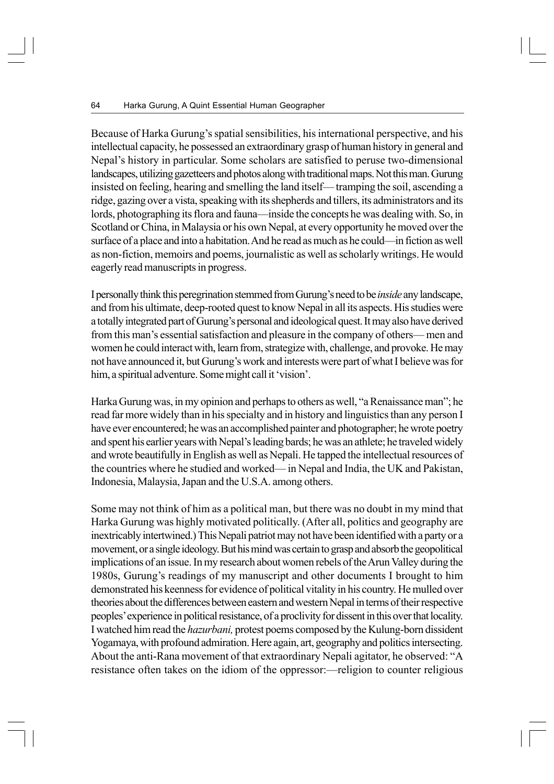Because of Harka Gurung's spatial sensibilities, his international perspective, and his intellectual capacity, he possessed an extraordinary grasp of human history in general and Nepal's history in particular. Some scholars are satisfied to peruse two-dimensional landscapes, utilizing gazetteers and photos along with traditional maps. Not this man. Gurung insisted on feeling, hearing and smelling the land itself— tramping the soil, ascending a ridge, gazing over a vista, speaking with its shepherds and tillers, its administrators and its lords, photographing its flora and fauna—inside the concepts he was dealing with. So, in Scotland or China, in Malaysia or his own Nepal, at every opportunity he moved over the surface of a place and into a habitation. And he read as much as he could—in fiction as well as non-fiction, memoirs and poems, journalistic as well as scholarly writings. He would eagerly read manuscripts in progress.

I personally think this peregrination stemmed from Gurung's need to be *inside* any landscape, and from his ultimate, deep-rooted quest to know Nepal in all its aspects. His studies were a totally integrated part of Gurung's personal and ideological quest. It may also have derived from this man's essential satisfaction and pleasure in the company of others— men and women he could interact with, learn from, strategize with, challenge, and provoke. He may not have announced it, but Gurung's work and interests were part of what I believe was for him, a spiritual adventure. Some might call it 'vision'.

Harka Gurung was, in my opinion and perhaps to others as well, "a Renaissance man"; he read far more widely than in his specialty and in history and linguistics than any person I have ever encountered; he was an accomplished painter and photographer; he wrote poetry and spent his earlier years with Nepal's leading bards; he was an athlete; he traveled widely and wrote beautifully in English as well as Nepali. He tapped the intellectual resources of the countries where he studied and worked— in Nepal and India, the UK and Pakistan, Indonesia, Malaysia, Japan and the U.S.A. among others.

Some may not think of him as a political man, but there was no doubt in my mind that Harka Gurung was highly motivated politically. (After all, politics and geography are inextricably intertwined.) This Nepali patriot may not have been identified with a party or a movement, or a single ideology. But his mind was certain to grasp and absorb the geopolitical implications of an issue. In my research about women rebels of the Arun Valley during the 1980s, Gurung's readings of my manuscript and other documents I brought to him demonstrated his keenness for evidence of political vitality in his country. He mulled over theories about the differences between eastern and western Nepal in terms of their respective peoples' experience in political resistance, of a proclivity for dissent in this over that locality. I watched him read the *hazurbani,* protest poems composed by the Kulung-born dissident Yogamaya, with profound admiration. Here again, art, geography and politics intersecting. About the anti-Rana movement of that extraordinary Nepali agitator, he observed: "A resistance often takes on the idiom of the oppressor:—religion to counter religious